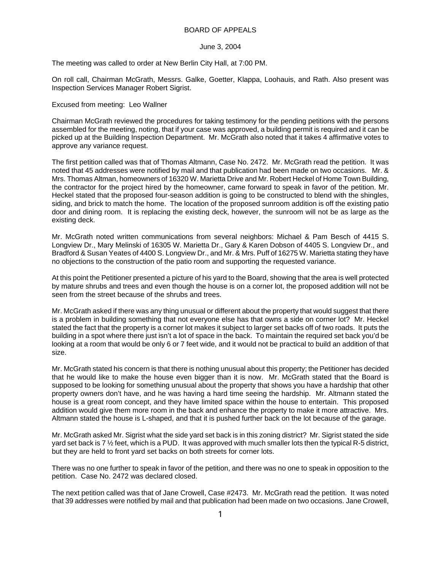## BOARD OF APPEALS

## June 3, 2004

The meeting was called to order at New Berlin City Hall, at 7:00 PM.

On roll call, Chairman McGrath, Messrs. Galke, Goetter, Klappa, Loohauis, and Rath. Also present was Inspection Services Manager Robert Sigrist.

## Excused from meeting: Leo Wallner

Chairman McGrath reviewed the procedures for taking testimony for the pending petitions with the persons assembled for the meeting, noting, that if your case was approved, a building permit is required and it can be picked up at the Building Inspection Department. Mr. McGrath also noted that it takes 4 affirmative votes to approve any variance request.

The first petition called was that of Thomas Altmann, Case No. 2472. Mr. McGrath read the petition. It was noted that 45 addresses were notified by mail and that publication had been made on two occasions. Mr. & Mrs. Thomas Altman, homeowners of 16320 W. Marietta Drive and Mr. Robert Heckel of Home Town Building, the contractor for the project hired by the homeowner, came forward to speak in favor of the petition. Mr. Heckel stated that the proposed four-season addition is going to be constructed to blend with the shingles, siding, and brick to match the home. The location of the proposed sunroom addition is off the existing patio door and dining room. It is replacing the existing deck, however, the sunroom will not be as large as the existing deck.

Mr. McGrath noted written communications from several neighbors: Michael & Pam Besch of 4415 S. Longview Dr., Mary Melinski of 16305 W. Marietta Dr., Gary & Karen Dobson of 4405 S. Longview Dr., and Bradford & Susan Yeates of 4400 S. Longview Dr., and Mr. & Mrs. Puff of 16275 W. Marietta stating they have no objections to the construction of the patio room and supporting the requested variance.

At this point the Petitioner presented a picture of his yard to the Board, showing that the area is well protected by mature shrubs and trees and even though the house is on a corner lot, the proposed addition will not be seen from the street because of the shrubs and trees.

Mr. McGrath asked if there was any thing unusual or different about the property that would suggest that there is a problem in building something that not everyone else has that owns a side on corner lot? Mr. Heckel stated the fact that the property is a corner lot makes it subject to larger set backs off of two roads. It puts the building in a spot where there just isn't a lot of space in the back. To maintain the required set back you'd be looking at a room that would be only 6 or 7 feet wide, and it would not be practical to build an addition of that size.

Mr. McGrath stated his concern is that there is nothing unusual about this property; the Petitioner has decided that he would like to make the house even bigger than it is now. Mr. McGrath stated that the Board is supposed to be looking for something unusual about the property that shows you have a hardship that other property owners don't have, and he was having a hard time seeing the hardship. Mr. Altmann stated the house is a great room concept, and they have limited space within the house to entertain. This proposed addition would give them more room in the back and enhance the property to make it more attractive. Mrs. Altmann stated the house is L-shaped, and that it is pushed further back on the lot because of the garage.

Mr. McGrath asked Mr. Sigrist what the side yard set back is in this zoning district? Mr. Sigrist stated the side yard set back is 7  $\frac{1}{2}$  feet, which is a PUD. It was approved with much smaller lots then the typical R-5 district, but they are held to front yard set backs on both streets for corner lots.

There was no one further to speak in favor of the petition, and there was no one to speak in opposition to the petition. Case No. 2472 was declared closed.

The next petition called was that of Jane Crowell, Case #2473. Mr. McGrath read the petition. It was noted that 39 addresses were notified by mail and that publication had been made on two occasions. Jane Crowell,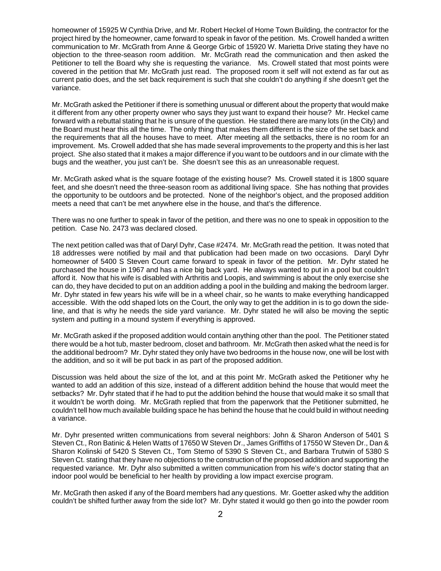homeowner of 15925 W Cynthia Drive, and Mr. Robert Heckel of Home Town Building, the contractor for the project hired by the homeowner, came forward to speak in favor of the petition. Ms. Crowell handed a written communication to Mr. McGrath from Anne & George Grbic of 15920 W. Marietta Drive stating they have no objection to the three-season room addition. Mr. McGrath read the communication and then asked the Petitioner to tell the Board why she is requesting the variance. Ms. Crowell stated that most points were covered in the petition that Mr. McGrath just read. The proposed room it self will not extend as far out as current patio does, and the set back requirement is such that she couldn't do anything if she doesn't get the variance.

Mr. McGrath asked the Petitioner if there is something unusual or different about the property that would make it different from any other property owner who says they just want to expand their house? Mr. Heckel came forward with a rebuttal stating that he is unsure of the question. He stated there are many lots (in the City) and the Board must hear this all the time. The only thing that makes them different is the size of the set back and the requirements that all the houses have to meet. After meeting all the setbacks, there is no room for an improvement. Ms. Crowell added that she has made several improvements to the property and this is her last project. She also stated that it makes a major difference if you want to be outdoors and in our climate with the bugs and the weather, you just can't be. She doesn't see this as an unreasonable request.

Mr. McGrath asked what is the square footage of the existing house? Ms. Crowell stated it is 1800 square feet, and she doesn't need the three-season room as additional living space. She has nothing that provides the opportunity to be outdoors and be protected. None of the neighbor's object, and the proposed addition meets a need that can't be met anywhere else in the house, and that's the difference.

There was no one further to speak in favor of the petition, and there was no one to speak in opposition to the petition. Case No. 2473 was declared closed.

The next petition called was that of Daryl Dyhr, Case #2474. Mr. McGrath read the petition. It was noted that 18 addresses were notified by mail and that publication had been made on two occasions. Daryl Dyhr homeowner of 5400 S Steven Court came forward to speak in favor of the petition. Mr. Dyhr stated he purchased the house in 1967 and has a nice big back yard. He always wanted to put in a pool but couldn't afford it. Now that his wife is disabled with Arthritis and Loopis, and swimming is about the only exercise she can do, they have decided to put on an addition adding a pool in the building and making the bedroom larger. Mr. Dyhr stated in few years his wife will be in a wheel chair, so he wants to make everything handicapped accessible. With the odd shaped lots on the Court, the only way to get the addition in is to go down the sideline, and that is why he needs the side yard variance. Mr. Dyhr stated he will also be moving the septic system and putting in a mound system if everything is approved.

Mr. McGrath asked if the proposed addition would contain anything other than the pool. The Petitioner stated there would be a hot tub, master bedroom, closet and bathroom. Mr. McGrath then asked what the need is for the additional bedroom? Mr. Dyhr stated they only have two bedrooms in the house now, one will be lost with the addition, and so it will be put back in as part of the proposed addition.

Discussion was held about the size of the lot, and at this point Mr. McGrath asked the Petitioner why he wanted to add an addition of this size, instead of a different addition behind the house that would meet the setbacks? Mr. Dyhr stated that if he had to put the addition behind the house that would make it so small that it wouldn't be worth doing. Mr. McGrath replied that from the paperwork that the Petitioner submitted, he couldn't tell how much available building space he has behind the house that he could build in without needing a variance.

Mr. Dyhr presented written communications from several neighbors: John & Sharon Anderson of 5401 S Steven Ct., Ron Batinic & Helen Watts of 17650 W Steven Dr., James Griffiths of 17550 W Steven Dr., Dan & Sharon Kolinski of 5420 S Steven Ct., Tom Stemo of 5390 S Steven Ct., and Barbara Trutwin of 5380 S Steven Ct. stating that they have no objections to the construction of the proposed addition and supporting the requested variance. Mr. Dyhr also submitted a written communication from his wife's doctor stating that an indoor pool would be beneficial to her health by providing a low impact exercise program.

Mr. McGrath then asked if any of the Board members had any questions. Mr. Goetter asked why the addition couldn't be shifted further away from the side lot? Mr. Dyhr stated it would go then go into the powder room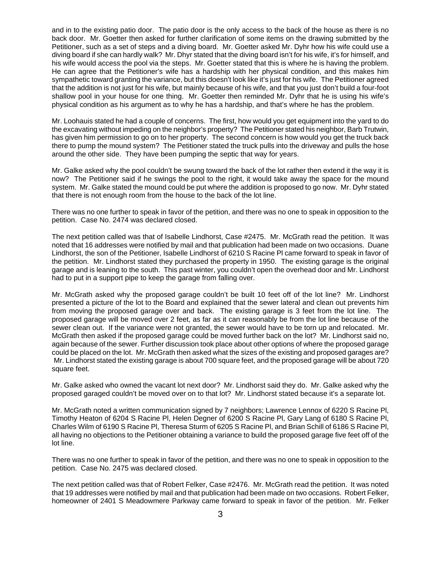and in to the existing patio door. The patio door is the only access to the back of the house as there is no back door. Mr. Goetter then asked for further clarification of some items on the drawing submitted by the Petitioner, such as a set of steps and a diving board. Mr. Goetter asked Mr. Dyhr how his wife could use a diving board if she can hardly walk? Mr. Dhyr stated that the diving board isn't for his wife, it's for himself, and his wife would access the pool via the steps. Mr. Goetter stated that this is where he is having the problem. He can agree that the Petitioner's wife has a hardship with her physical condition, and this makes him sympathetic toward granting the variance, but this doesn't look like it's just for his wife. The Petitioner agreed that the addition is not just for his wife, but mainly because of his wife, and that you just don't build a four-foot shallow pool in your house for one thing. Mr. Goetter then reminded Mr. Dyhr that he is using his wife's physical condition as his argument as to why he has a hardship, and that's where he has the problem.

Mr. Loohauis stated he had a couple of concerns. The first, how would you get equipment into the yard to do the excavating without impeding on the neighbor's property? The Petitioner stated his neighbor, Barb Trutwin, has given him permission to go on to her property. The second concern is how would you get the truck back there to pump the mound system? The Petitioner stated the truck pulls into the driveway and pulls the hose around the other side. They have been pumping the septic that way for years.

Mr. Galke asked why the pool couldn't be swung toward the back of the lot rather then extend it the way it is now? The Petitioner said if he swings the pool to the right, it would take away the space for the mound system. Mr. Galke stated the mound could be put where the addition is proposed to go now. Mr. Dyhr stated that there is not enough room from the house to the back of the lot line.

There was no one further to speak in favor of the petition, and there was no one to speak in opposition to the petition. Case No. 2474 was declared closed.

The next petition called was that of Isabelle Lindhorst, Case #2475. Mr. McGrath read the petition. It was noted that 16 addresses were notified by mail and that publication had been made on two occasions. Duane Lindhorst, the son of the Petitioner, Isabelle Lindhorst of 6210 S Racine Pl came forward to speak in favor of the petition. Mr. Lindhorst stated they purchased the property in 1950. The existing garage is the original garage and is leaning to the south. This past winter, you couldn't open the overhead door and Mr. Lindhorst had to put in a support pipe to keep the garage from falling over.

Mr. McGrath asked why the proposed garage couldn't be built 10 feet off of the lot line? Mr. Lindhorst presented a picture of the lot to the Board and explained that the sewer lateral and clean out prevents him from moving the proposed garage over and back. The existing garage is 3 feet from the lot line. The proposed garage will be moved over 2 feet, as far as it can reasonably be from the lot line because of the sewer clean out. If the variance were not granted, the sewer would have to be torn up and relocated. Mr. McGrath then asked if the proposed garage could be moved further back on the lot? Mr. Lindhorst said no, again because of the sewer. Further discussion took place about other options of where the proposed garage could be placed on the lot. Mr. McGrath then asked what the sizes of the existing and proposed garages are? Mr. Lindhorst stated the existing garage is about 700 square feet, and the proposed garage will be about 720 square feet.

Mr. Galke asked who owned the vacant lot next door? Mr. Lindhorst said they do. Mr. Galke asked why the proposed garaged couldn't be moved over on to that lot? Mr. Lindhorst stated because it's a separate lot.

Mr. McGrath noted a written communication signed by 7 neighbors; Lawrence Lennox of 6220 S Racine Pl, Timothy Heaton of 6204 S Racine Pl, Helen Degner of 6200 S Racine Pl, Gary Lang of 6180 S Racine Pl, Charles Wilm of 6190 S Racine Pl, Theresa Sturm of 6205 S Racine Pl, and Brian Schill of 6186 S Racine Pl, all having no objections to the Petitioner obtaining a variance to build the proposed garage five feet off of the lot line.

There was no one further to speak in favor of the petition, and there was no one to speak in opposition to the petition. Case No. 2475 was declared closed.

The next petition called was that of Robert Felker, Case #2476. Mr. McGrath read the petition. It was noted that 19 addresses were notified by mail and that publication had been made on two occasions. Robert Felker, homeowner of 2401 S Meadowmere Parkway came forward to speak in favor of the petition. Mr. Felker